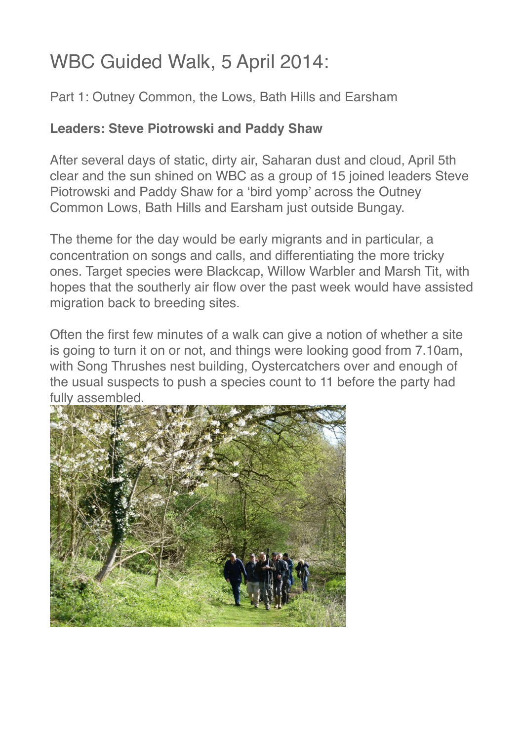## WBC Guided Walk, 5 April 2014:

Part 1: Outney Common, the Lows, Bath Hills and Earsham

## **Leaders: Steve Piotrowski and Paddy Shaw**

After several days of static, dirty air, Saharan dust and cloud, April 5th clear and the sun shined on WBC as a group of 15 joined leaders Steve Piotrowski and Paddy Shaw for a 'bird yomp' across the Outney Common Lows, Bath Hills and Earsham just outside Bungay.

The theme for the day would be early migrants and in particular, a concentration on songs and calls, and differentiating the more tricky ones. Target species were Blackcap, Willow Warbler and Marsh Tit, with hopes that the southerly air flow over the past week would have assisted migration back to breeding sites.

Often the first few minutes of a walk can give a notion of whether a site is going to turn it on or not, and things were looking good from 7.10am, with Song Thrushes nest building, Oystercatchers over and enough of the usual suspects to push a species count to 11 before the party had fully assembled.

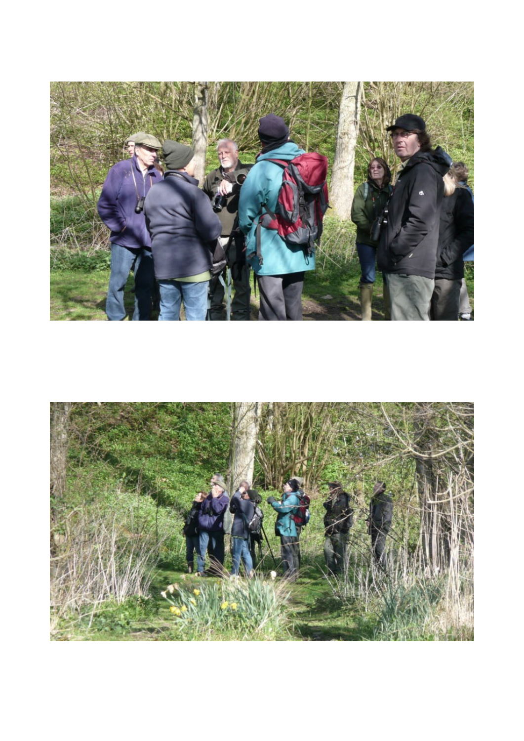

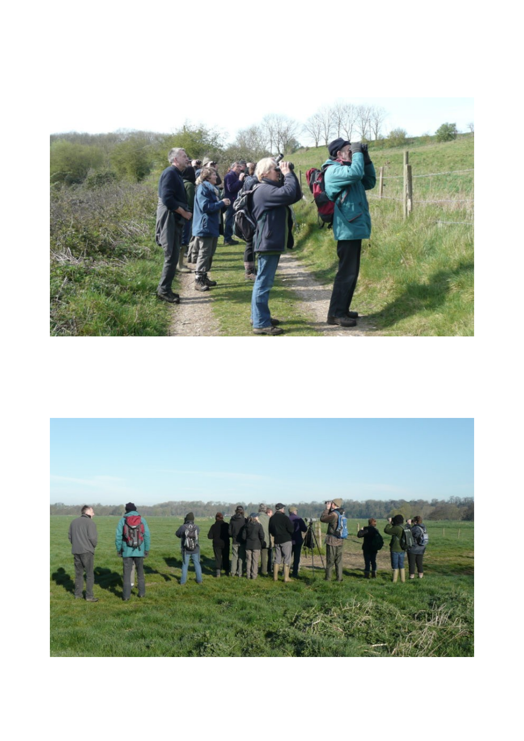

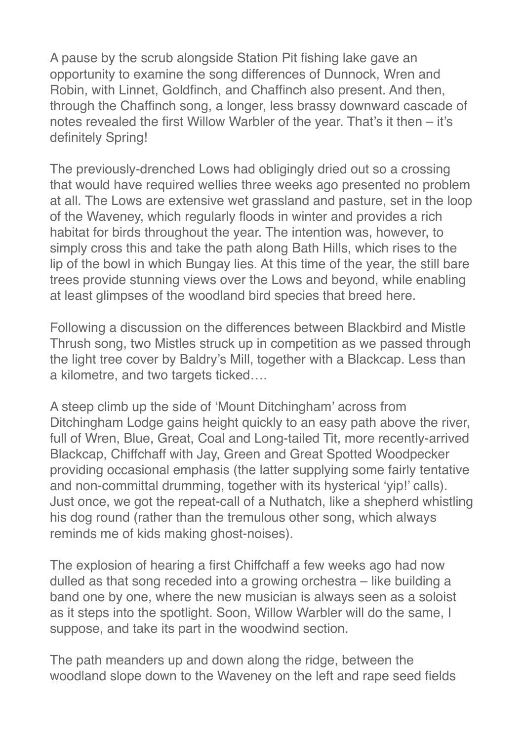A pause by the scrub alongside Station Pit fishing lake gave an opportunity to examine the song differences of Dunnock, Wren and Robin, with Linnet, Goldfinch, and Chaffinch also present. And then, through the Chaffinch song, a longer, less brassy downward cascade of notes revealed the first Willow Warbler of the year. That's it then – it's definitely Spring!

The previously-drenched Lows had obligingly dried out so a crossing that would have required wellies three weeks ago presented no problem at all. The Lows are extensive wet grassland and pasture, set in the loop of the Waveney, which regularly floods in winter and provides a rich habitat for birds throughout the year. The intention was, however, to simply cross this and take the path along Bath Hills, which rises to the lip of the bowl in which Bungay lies. At this time of the year, the still bare trees provide stunning views over the Lows and beyond, while enabling at least glimpses of the woodland bird species that breed here.

Following a discussion on the differences between Blackbird and Mistle Thrush song, two Mistles struck up in competition as we passed through the light tree cover by Baldry's Mill, together with a Blackcap. Less than a kilometre, and two targets ticked….

A steep climb up the side of 'Mount Ditchingham' across from Ditchingham Lodge gains height quickly to an easy path above the river, full of Wren, Blue, Great, Coal and Long-tailed Tit, more recently-arrived Blackcap, Chiffchaff with Jay, Green and Great Spotted Woodpecker providing occasional emphasis (the latter supplying some fairly tentative and non-committal drumming, together with its hysterical 'yip!' calls). Just once, we got the repeat-call of a Nuthatch, like a shepherd whistling his dog round (rather than the tremulous other song, which always reminds me of kids making ghost-noises).

The explosion of hearing a first Chiffchaff a few weeks ago had now dulled as that song receded into a growing orchestra – like building a band one by one, where the new musician is always seen as a soloist as it steps into the spotlight. Soon, Willow Warbler will do the same, I suppose, and take its part in the woodwind section.

The path meanders up and down along the ridge, between the woodland slope down to the Waveney on the left and rape seed fields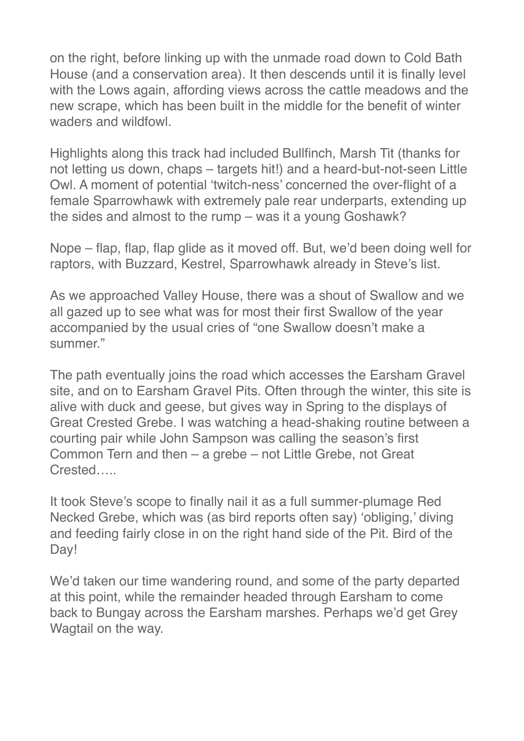on the right, before linking up with the unmade road down to Cold Bath House (and a conservation area). It then descends until it is finally level with the Lows again, affording views across the cattle meadows and the new scrape, which has been built in the middle for the benefit of winter waders and wildfowl

Highlights along this track had included Bullfinch, Marsh Tit (thanks for not letting us down, chaps – targets hit!) and a heard-but-not-seen Little Owl. A moment of potential 'twitch-ness' concerned the over-flight of a female Sparrowhawk with extremely pale rear underparts, extending up the sides and almost to the rump – was it a young Goshawk?

Nope – flap, flap, flap glide as it moved off. But, we'd been doing well for raptors, with Buzzard, Kestrel, Sparrowhawk already in Steve's list.

As we approached Valley House, there was a shout of Swallow and we all gazed up to see what was for most their first Swallow of the year accompanied by the usual cries of "one Swallow doesn't make a summer."

The path eventually joins the road which accesses the Earsham Gravel site, and on to Earsham Gravel Pits. Often through the winter, this site is alive with duck and geese, but gives way in Spring to the displays of Great Crested Grebe. I was watching a head-shaking routine between a courting pair while John Sampson was calling the season's first Common Tern and then – a grebe – not Little Grebe, not Great **Crested** 

It took Steve's scope to finally nail it as a full summer-plumage Red Necked Grebe, which was (as bird reports often say) 'obliging,' diving and feeding fairly close in on the right hand side of the Pit. Bird of the Day!

We'd taken our time wandering round, and some of the party departed at this point, while the remainder headed through Earsham to come back to Bungay across the Earsham marshes. Perhaps we'd get Grey Wagtail on the way.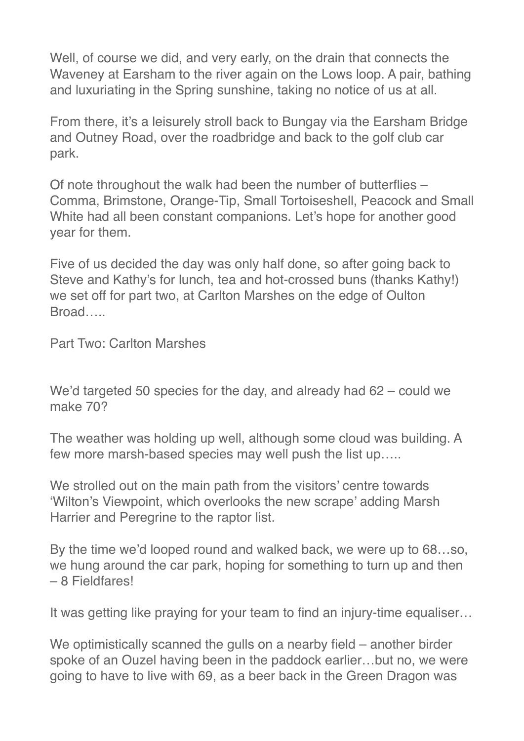Well, of course we did, and very early, on the drain that connects the Waveney at Earsham to the river again on the Lows loop. A pair, bathing and luxuriating in the Spring sunshine, taking no notice of us at all.

From there, it's a leisurely stroll back to Bungay via the Earsham Bridge and Outney Road, over the roadbridge and back to the golf club car park.

Of note throughout the walk had been the number of butterflies – Comma, Brimstone, Orange-Tip, Small Tortoiseshell, Peacock and Small White had all been constant companions. Let's hope for another good year for them.

Five of us decided the day was only half done, so after going back to Steve and Kathy's for lunch, tea and hot-crossed buns (thanks Kathy!) we set off for part two, at Carlton Marshes on the edge of Oulton Broad…..

Part Two: Carlton Marshes

We'd targeted 50 species for the day, and already had 62 – could we make 70?

The weather was holding up well, although some cloud was building. A few more marsh-based species may well push the list up…..

We strolled out on the main path from the visitors' centre towards 'Wilton's Viewpoint, which overlooks the new scrape' adding Marsh Harrier and Peregrine to the raptor list.

By the time we'd looped round and walked back, we were up to 68…so, we hung around the car park, hoping for something to turn up and then – 8 Fieldfares!

It was getting like praving for your team to find an injury-time equaliser...

We optimistically scanned the gulls on a nearby field – another birder spoke of an Ouzel having been in the paddock earlier…but no, we were going to have to live with 69, as a beer back in the Green Dragon was